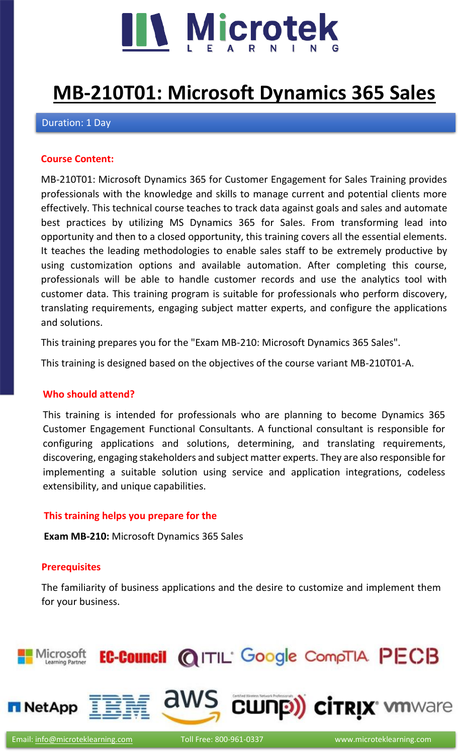

# **[MB-210T01: Microsoft Dynamics 365 Sales](https://www.microteklearning.com/mb-210t01-microsoft-dynamics-365-for-sales-training/)**

#### Duration: 1 Day

#### **Course Content:**

MB-210T01: Microsoft Dynamics 365 for Customer Engagement for Sales Training provides professionals with the knowledge and skills to manage current and potential clients more effectively. This technical course teaches to track data against goals and sales and automate best practices by utilizing MS Dynamics 365 for Sales. From transforming lead into opportunity and then to a closed opportunity, this training covers all the essential elements. It teaches the leading methodologies to enable sales staff to be extremely productive by using customization options and available automation. After completing this course, professionals will be able to handle customer records and use the analytics tool with customer data. This training program is suitable for professionals who perform discovery, translating requirements, engaging subject matter experts, and configure the applications and solutions.

This training prepares you for the "Exam MB-210: Microsoft Dynamics 365 Sales".

This training is designed based on the objectives of the course variant MB-210T01-A.

#### **Who should attend?**

This training is intended for professionals who are planning to become Dynamics 365 Customer Engagement Functional Consultants. A functional consultant is responsible for configuring applications and solutions, determining, and translating requirements, discovering, engaging stakeholders and subject matter experts. They are also responsible for implementing a suitable solution using service and application integrations, codeless extensibility, and unique capabilities.

#### **This training helps you prepare for the**

**Exam MB-210:** Microsoft Dynamics 365 Sales

#### **Prerequisites**

The familiarity of business applications and the desire to customize and implement them for your business.

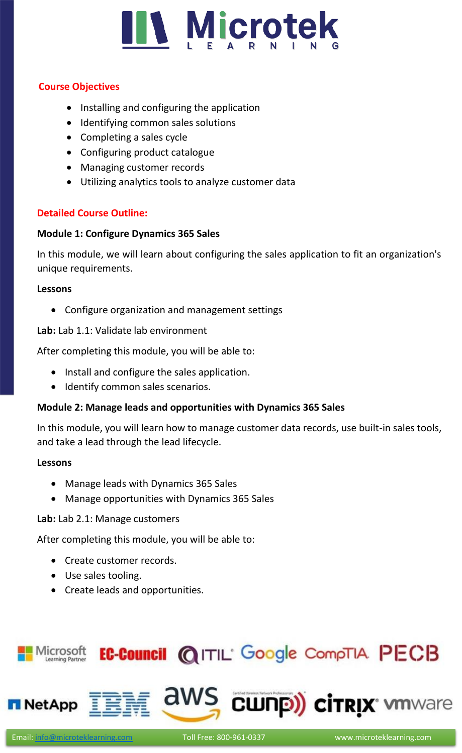# **II Microtek**

# **Course Objectives**

- Installing and configuring the application
- Identifying common sales solutions
- Completing a sales cycle
- Configuring product catalogue
- Managing customer records
- Utilizing analytics tools to analyze customer data

# **Detailed Course Outline:**

# **Module 1: Configure Dynamics 365 Sales**

In this module, we will learn about configuring the sales application to fit an organization's unique requirements.

# **Lessons**

• Configure organization and management settings

**Lab:** Lab 1.1: Validate lab environment

After completing this module, you will be able to:

- Install and configure the sales application.
- Identify common sales scenarios.

# **Module 2: Manage leads and opportunities with Dynamics 365 Sales**

In this module, you will learn how to manage customer data records, use built-in sales tools, and take a lead through the lead lifecycle.

# **Lessons**

- Manage leads with Dynamics 365 Sales
- Manage opportunities with Dynamics 365 Sales

# **Lab:** Lab 2.1: Manage customers

After completing this module, you will be able to:

- Create customer records.
- Use sales tooling.
- Create leads and opportunities.

# EC-Council @ITIL' Google CompTIA PECB Microsoft

aws cunp) cirrix vmware



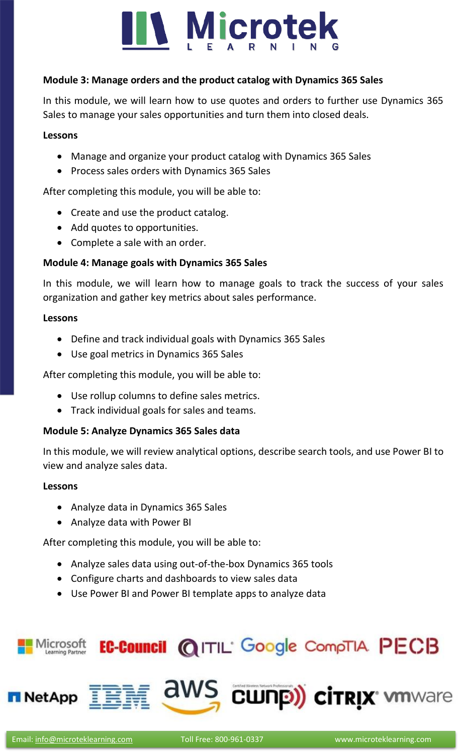

# **Module 3: Manage orders and the product catalog with Dynamics 365 Sales**

In this module, we will learn how to use quotes and orders to further use Dynamics 365 Sales to manage your sales opportunities and turn them into closed deals.

#### **Lessons**

- Manage and organize your product catalog with Dynamics 365 Sales
- Process sales orders with Dynamics 365 Sales

After completing this module, you will be able to:

- Create and use the product catalog.
- Add quotes to opportunities.
- Complete a sale with an order.

# **Module 4: Manage goals with Dynamics 365 Sales**

In this module, we will learn how to manage goals to track the success of your sales organization and gather key metrics about sales performance.

#### **Lessons**

- Define and track individual goals with Dynamics 365 Sales
- Use goal metrics in Dynamics 365 Sales

After completing this module, you will be able to:

- Use rollup columns to define sales metrics.
- Track individual goals for sales and teams.

# **Module 5: Analyze Dynamics 365 Sales data**

In this module, we will review analytical options, describe search tools, and use Power BI to view and analyze sales data.

#### **Lessons**

- Analyze data in Dynamics 365 Sales
- Analyze data with Power BI

After completing this module, you will be able to:

- Analyze sales data using out-of-the-box Dynamics 365 tools
- Configure charts and dashboards to view sales data
- Use Power BI and Power BI template apps to analyze data

# EC-Council @ITIL' Google CompTIA PECB vicrosoft



aws cunp) cirrix when